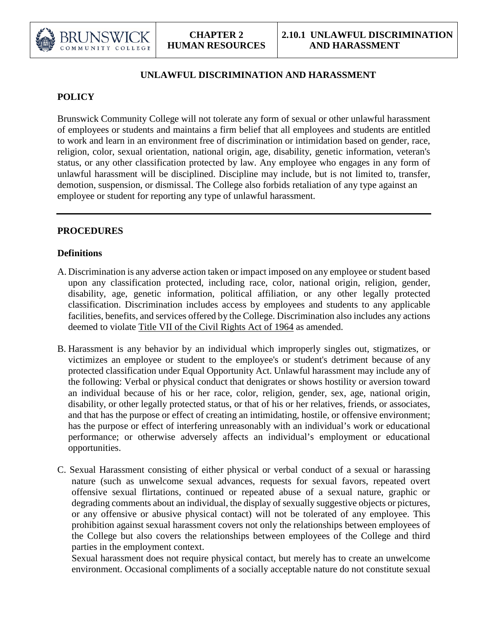

# **UNLAWFUL DISCRIMINATION AND HARASSMENT**

# **POLICY**

Brunswick Community College will not tolerate any form of sexual or other unlawful harassment of employees or students and maintains a firm belief that all employees and students are entitled to work and learn in an environment free of discrimination or intimidation based on gender, race, religion, color, sexual orientation, national origin, age, disability, genetic information, veteran's status, or any other classification protected by law. Any employee who engages in any form of unlawful harassment will be disciplined. Discipline may include, but is not limited to, transfer, demotion, suspension, or dismissal. The College also forbids retaliation of any type against an employee or student for reporting any type of unlawful harassment.

### **PROCEDURES**

### **Definitions**

- A. Discrimination is any adverse action taken or impact imposed on any employee or student based upon any classification protected, including race, color, national origin, religion, gender, disability, age, genetic information, political affiliation, or any other legally protected classification. Discrimination includes access by employees and students to any applicable facilities, benefits, and services offered by the College. Discrimination also includes any actions deemed to violate [Title VII of the Civil Rights Act of 1964](http://www.eeoc.gov/laws/statutes/titlevii.cfm) as amended.
- B. Harassment is any behavior by an individual which improperly singles out, stigmatizes, or victimizes an employee or student to the employee's or student's detriment because of any protected classification under Equal Opportunity Act. Unlawful harassment may include any of the following: Verbal or physical conduct that denigrates or shows hostility or aversion toward an individual because of his or her race, color, religion, gender, sex, age, national origin, disability, or other legally protected status, or that of his or her relatives, friends, or associates, and that has the purpose or effect of creating an intimidating, hostile, or offensive environment; has the purpose or effect of interfering unreasonably with an individual's work or educational performance; or otherwise adversely affects an individual's employment or educational opportunities.
- C. Sexual Harassment consisting of either physical or verbal conduct of a sexual or harassing nature (such as unwelcome sexual advances, requests for sexual favors, repeated overt offensive sexual flirtations, continued or repeated abuse of a sexual nature, graphic or degrading comments about an individual, the display of sexually suggestive objects or pictures, or any offensive or abusive physical contact) will not be tolerated of any employee. This prohibition against sexual harassment covers not only the relationships between employees of the College but also covers the relationships between employees of the College and third parties in the employment context.

Sexual harassment does not require physical contact, but merely has to create an unwelcome environment. Occasional compliments of a socially acceptable nature do not constitute sexual